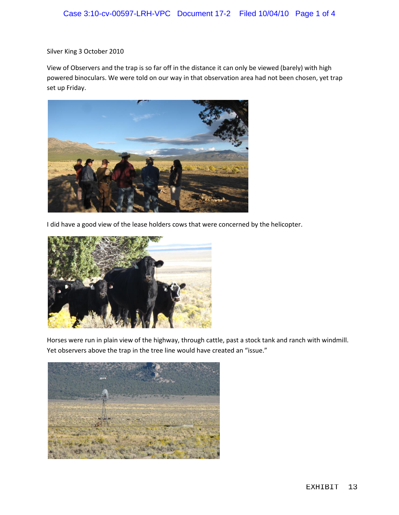Silver King 3 October 2010

View of Observers and the trap is so far off in the distance it can only be viewed (barely) with high powered binoculars. We were told on our way in that observation area had not been chosen, yet trap set up Friday.



I did have a good view of the lease holders cows that were concerned by the helicopter.



Horses were run in plain view of the highway, through cattle, past a stock tank and ranch with windmill. Yet observers above the trap in the tree line would have created an "issue."

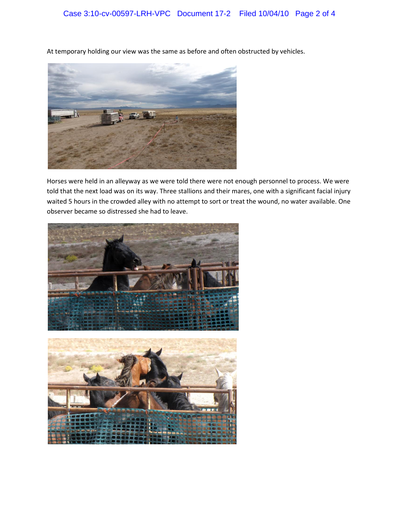At temporary holding our view was the same as before and often obstructed by vehicles.



Horses were held in an alleyway as we were told there were not enough personnel to process. We were told that the next load was on its way. Three stallions and their mares, one with a significant facial injury waited 5 hours in the crowded alley with no attempt to sort or treat the wound, no water available. One observer became so distressed she had to leave.

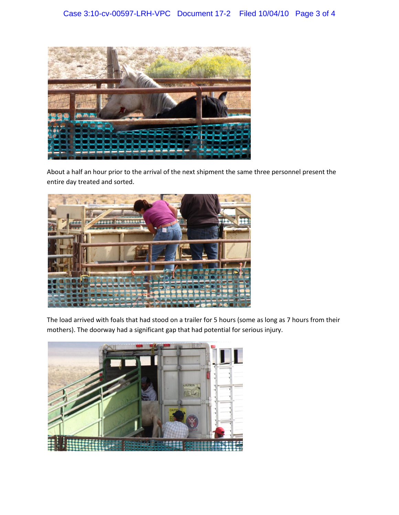

About a half an hour prior to the arrival of the next shipment the same three personnel present the entire day treated and sorted.



The load arrived with foals that had stood on a trailer for 5 hours (some as long as 7 hours from their mothers). The doorway had a significant gap that had potential for serious injury.